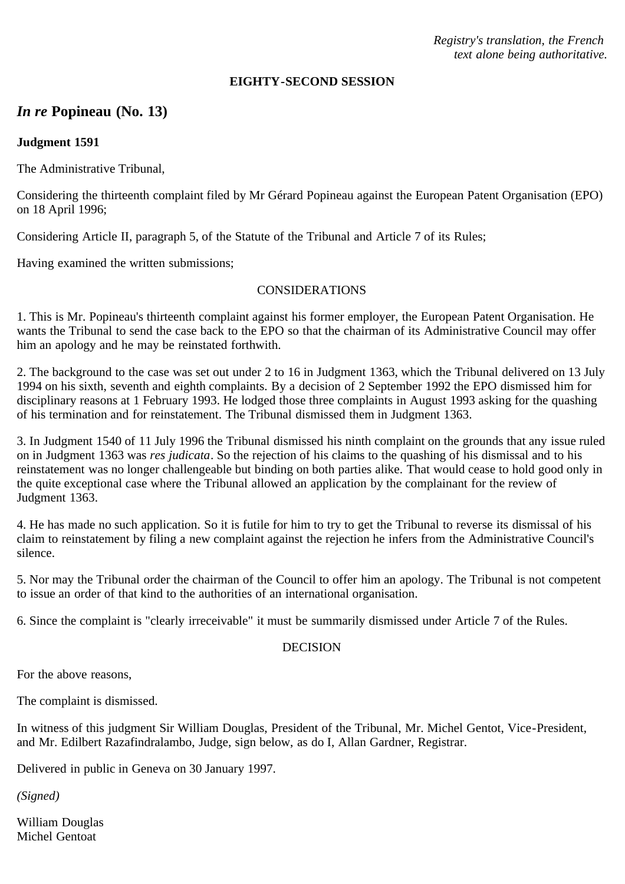*Registry's translation, the French text alone being authoritative.*

#### **EIGHTY-SECOND SESSION**

# *In re* **Popineau (No. 13)**

### **Judgment 1591**

The Administrative Tribunal,

Considering the thirteenth complaint filed by Mr Gérard Popineau against the European Patent Organisation (EPO) on 18 April 1996;

Considering Article II, paragraph 5, of the Statute of the Tribunal and Article 7 of its Rules;

Having examined the written submissions;

## CONSIDERATIONS

1. This is Mr. Popineau's thirteenth complaint against his former employer, the European Patent Organisation. He wants the Tribunal to send the case back to the EPO so that the chairman of its Administrative Council may offer him an apology and he may be reinstated forthwith.

2. The background to the case was set out under 2 to 16 in Judgment 1363, which the Tribunal delivered on 13 July 1994 on his sixth, seventh and eighth complaints. By a decision of 2 September 1992 the EPO dismissed him for disciplinary reasons at 1 February 1993. He lodged those three complaints in August 1993 asking for the quashing of his termination and for reinstatement. The Tribunal dismissed them in Judgment 1363.

3. In Judgment 1540 of 11 July 1996 the Tribunal dismissed his ninth complaint on the grounds that any issue ruled on in Judgment 1363 was *res judicata*. So the rejection of his claims to the quashing of his dismissal and to his reinstatement was no longer challengeable but binding on both parties alike. That would cease to hold good only in the quite exceptional case where the Tribunal allowed an application by the complainant for the review of Judgment 1363.

4. He has made no such application. So it is futile for him to try to get the Tribunal to reverse its dismissal of his claim to reinstatement by filing a new complaint against the rejection he infers from the Administrative Council's silence.

5. Nor may the Tribunal order the chairman of the Council to offer him an apology. The Tribunal is not competent to issue an order of that kind to the authorities of an international organisation.

6. Since the complaint is "clearly irreceivable" it must be summarily dismissed under Article 7 of the Rules.

### DECISION

For the above reasons,

The complaint is dismissed.

In witness of this judgment Sir William Douglas, President of the Tribunal, Mr. Michel Gentot, Vice-President, and Mr. Edilbert Razafindralambo, Judge, sign below, as do I, Allan Gardner, Registrar.

Delivered in public in Geneva on 30 January 1997.

*(Signed)*

William Douglas Michel Gentoat